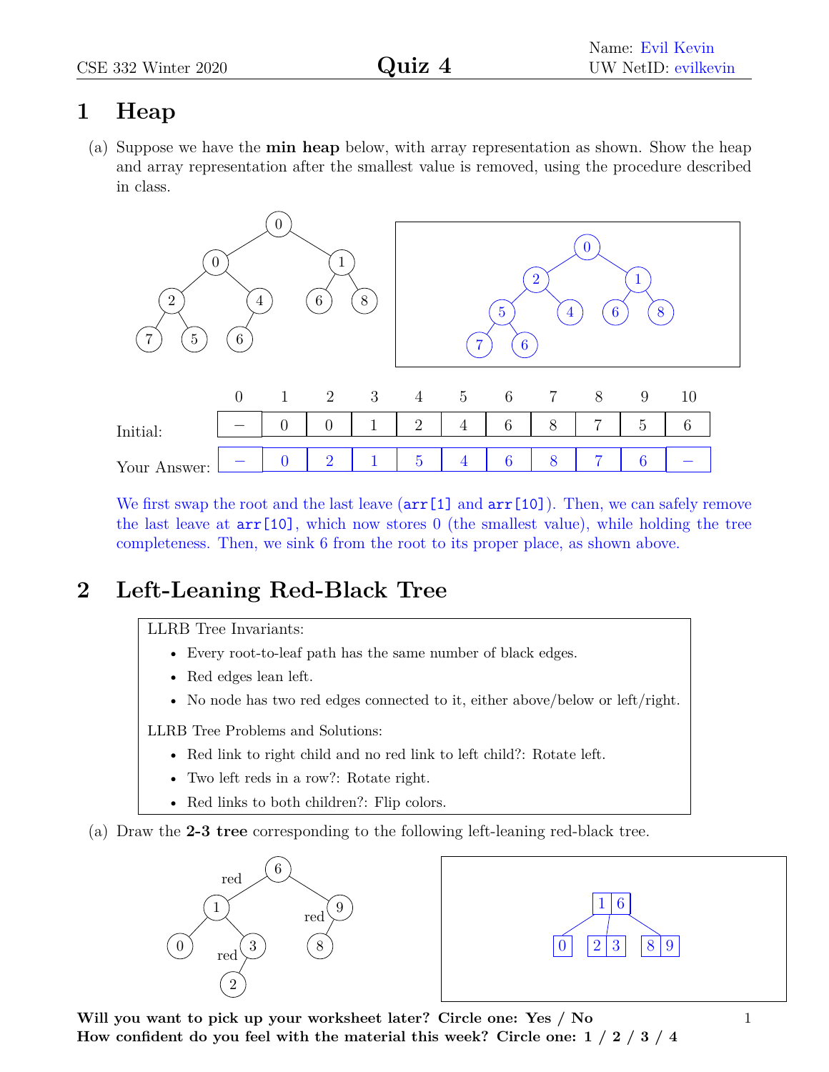## **1 Heap**

(a) Suppose we have the **min heap** below, with array representation as shown. Show the heap and array representation after the smallest value is removed, using the procedure described in class.



We first swap the root and the last leave  $(\arr[1]$  and  $\arr[10]$ ). Then, we can safely remove the last leave at arr[10], which now stores 0 (the smallest value), while holding the tree completeness. Then, we sink 6 from the root to its proper place, as shown above.

## **2 Left-Leaning Red-Black Tree**

LLRB Tree Invariants:

- Every root-to-leaf path has the same number of black edges.
- Red edges lean left.
- No node has two red edges connected to it, either above/below or left/right.

LLRB Tree Problems and Solutions:

- Red link to right child and no red link to left child?: Rotate left.
- Two left reds in a row?: Rotate right.
- Red links to both children?: Flip colors.
- (a) Draw the **2-3 tree** corresponding to the following left-leaning red-black tree.





**Will you want to pick up your worksheet later? Circle one: Yes / No How confident do you feel with the material this week? Circle one: 1 / 2 / 3 / 4**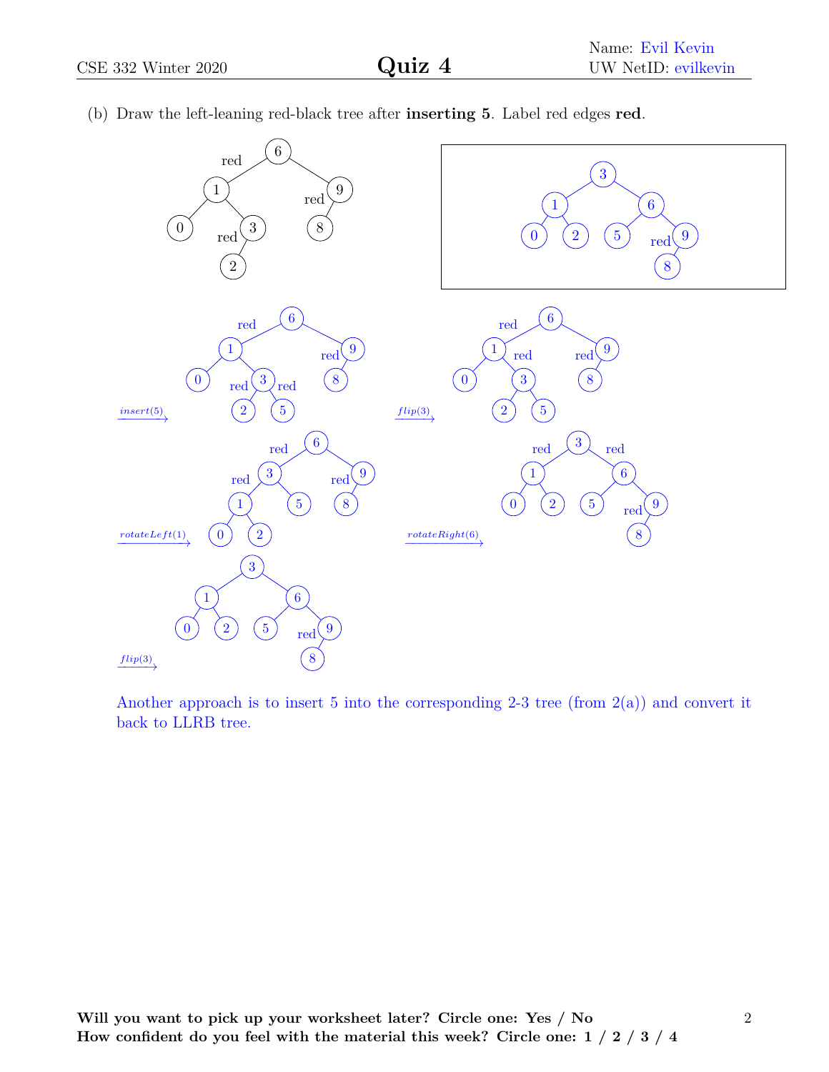| $\sqrt{6}$<br>$\operatorname{red}$<br>$9\,$<br>$\mathbf{1}$<br>$\operatorname{red}$<br>$8\,$<br>$\left 3\right\rangle$<br>$\boldsymbol{0}$<br>$\operatorname{red}$<br>$\sqrt{2}$ | $\boldsymbol{3}$<br>6 <sup>1</sup><br>1<br>$\overline{2}$<br>$\boxed{5}$<br>$\bf{0}$<br>9<br>$\text{red}^{\mathcal{N}}$<br>8 |
|----------------------------------------------------------------------------------------------------------------------------------------------------------------------------------|------------------------------------------------------------------------------------------------------------------------------|
| $\overline{6}$                                                                                                                                                                   | $6\phantom{a}6$                                                                                                              |
| red<br>9<br>$\mathbf{1}$                                                                                                                                                         | $\operatorname{red}$<br>$9\phantom{.0}$<br>1                                                                                 |
| $\text{red}^{\mathcal{N}}$<br>$\left(8\right)$<br>$\left( 0\right)$<br>$\left[3\right]$                                                                                          | red<br>red<br>$\left 8\right\rangle$<br>$\overline{3}$<br>$\left[ 0 \right]$                                                 |
| $\operatorname{red}$<br>red<br>$\left(5\right)$<br>$\sqrt{2}$                                                                                                                    | $\sqrt{2}$<br>$\left[5\right]$                                                                                               |
| $\frac{insert(5)}{x}$                                                                                                                                                            | flip(3)                                                                                                                      |
| $6\phantom{.}6$<br>$\operatorname{red}$                                                                                                                                          | $\left 3\right\rangle$<br>$\operatorname{red}$<br>red                                                                        |
| $\boldsymbol{3}$<br>9<br>red<br>red                                                                                                                                              | $\boldsymbol{6}$<br>$\mathbf 1$                                                                                              |
| $\left[ 5 \right]$<br>$\boldsymbol{8}$<br>$\mathbf{1}$                                                                                                                           | $\begin{bmatrix} 5 \end{bmatrix}$<br>$\overline{2}$<br>$\boldsymbol{0}$<br>9<br>red                                          |
| $\left( 2\right)$<br>$\left[ 0 \right]$<br>$\label{eq:rotateLeft} rotateLeft(1)$                                                                                                 | 8<br>$\frac{rotateRight(6)}{}$                                                                                               |
| 3 <sup>2</sup>                                                                                                                                                                   |                                                                                                                              |
| 6 <sup>1</sup><br>1                                                                                                                                                              |                                                                                                                              |
| $\overline{5}$<br>$\overline{2}$<br>9<br>$\boldsymbol{0}$<br>$\text{red}^{\prime}$                                                                                               |                                                                                                                              |
| $\boldsymbol{8}$<br>$\xrightarrow{flip(3)}$                                                                                                                                      |                                                                                                                              |

(b) Draw the left-leaning red-black tree after **inserting 5**. Label red edges **red**.

Another approach is to insert 5 into the corresponding 2-3 tree (from  $2(a)$ ) and convert it back to LLRB tree.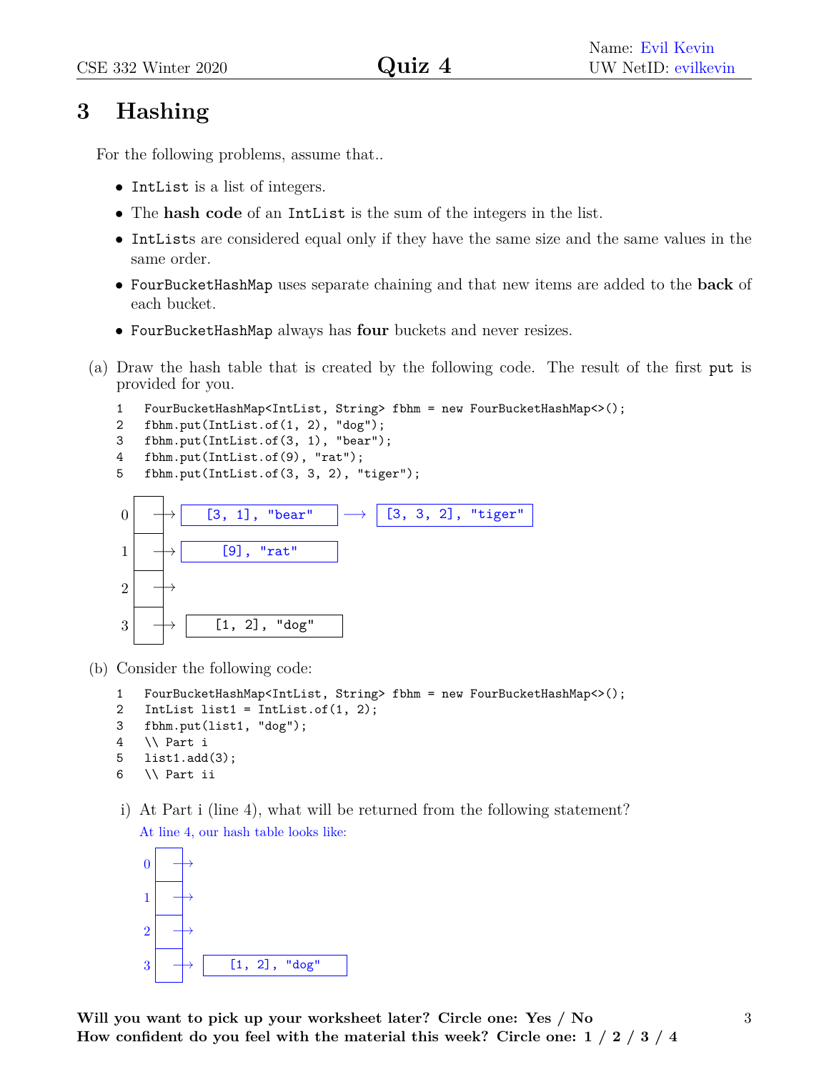## **3 Hashing**

For the following problems, assume that..

- IntList is a list of integers.
- The **hash code** of an IntList is the sum of the integers in the list.
- IntLists are considered equal only if they have the same size and the same values in the same order.
- FourBucketHashMap uses separate chaining and that new items are added to the **back** of each bucket.
- FourBucketHashMap always has **four** buckets and never resizes.
- (a) Draw the hash table that is created by the following code. The result of the first put is provided for you.
	- 1 FourBucketHashMap<IntList, String> fbhm = new FourBucketHashMap<>();
	- 2 fbhm.put(IntList.of(1, 2), "dog");
	- 3 fbhm.put(IntList.of(3, 1), "bear");
	- 4 fbhm.put(IntList.of(9), "rat");
	- 5 fbhm.put(IntList.of(3, 3, 2), "tiger");



- (b) Consider the following code:
	- 1 FourBucketHashMap<IntList, String> fbhm = new FourBucketHashMap<>();
	- 2 IntList list1 = IntList.of $(1, 2)$ ;
	- 3 fbhm.put(list1, "dog");
	- 4 \\ Part i
	- 5 list1.add(3);
	- 6 \\ Part ii
	- i) At Part i (line 4), what will be returned from the following statement? At line 4, our hash table looks like:

| $\boldsymbol{0}$ |  |  |               |  |
|------------------|--|--|---------------|--|
| $\mathbf{1}$     |  |  |               |  |
| $\overline{2}$   |  |  |               |  |
| 3                |  |  | [1, 2], "dog" |  |